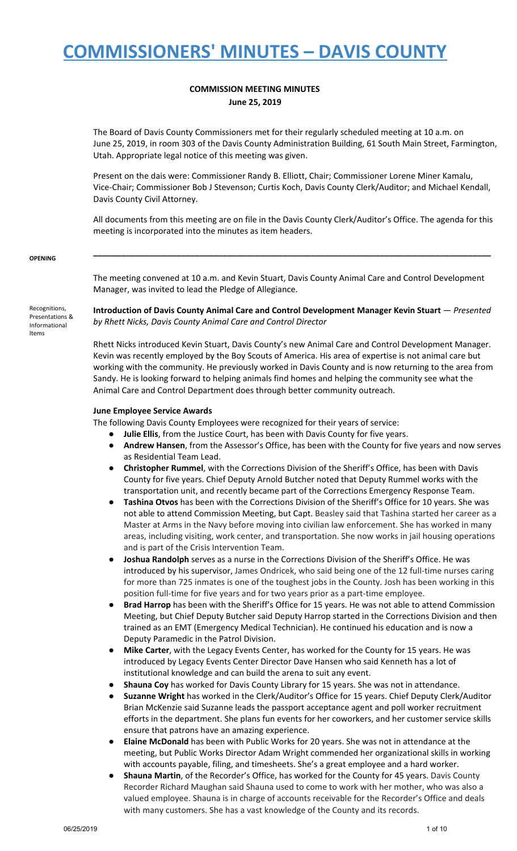#### **COMMISSION MEETING MINUTES June 25, 2019**

The Board of Davis County Commissioners met for their regularly scheduled meeting at 10 a.m. on June 25, 2019, in room 303 of the Davis County Administration Building, 61 South Main Street, Farmington, Utah. Appropriate legal notice of this meeting was given.

Present on the dais were: Commissioner Randy B. Elliott, Chair; Commissioner Lorene Miner Kamalu, Vice-Chair; Commissioner Bob J Stevenson; Curtis Koch, Davis County Clerk/Auditor; and Michael Kendall, Davis County Civil Attorney.

All documents from this meeting are on file in the Davis County Clerk/Auditor's Office. The agenda for this meeting is incorporated into the minutes as item headers.

**\_\_\_\_\_\_\_\_\_\_\_\_\_\_\_\_\_\_\_\_\_\_\_\_\_\_\_\_\_\_\_\_\_\_\_\_\_\_\_\_\_\_\_\_\_\_\_\_\_\_\_\_\_\_\_\_\_\_\_\_\_\_\_\_\_\_\_\_\_\_\_\_\_\_\_\_\_\_\_\_\_\_\_\_\_\_**

#### **OPENING**

The meeting convened at 10 a.m. and Kevin Stuart, Davis County Animal Care and Control Development Manager, was invited to lead the Pledge of Allegiance.

Recognitions, Presentations & Informational Items

**Introduction of Davis County Animal Care and Control Development Manager Kevin Stuart** — *Presented by Rhett Nicks, Davis County Animal Care and Control Director*

Rhett Nicks introduced Kevin Stuart, Davis County's new Animal Care and Control Development Manager. Kevin was recently employed by the Boy Scouts of America. His area of expertise is not animal care but working with the community. He previously worked in Davis County and is now returning to the area from Sandy. He is looking forward to helping animals find homes and helping the community see what the Animal Care and Control Department does through better community outreach.

#### **June Employee Service Awards**

The following Davis County Employees were recognized for their years of service:

- **Julie Ellis**, from the Justice Court, has been with Davis County for five years.
- **Andrew Hansen**, from the Assessor's Office, has been with the County for five years and now serves as Residential Team Lead.
- **Christopher Rummel**, with the Corrections Division of the Sheriff's Office, has been with Davis County for five years. Chief Deputy Arnold Butcher noted that Deputy Rummel works with the transportation unit, and recently became part of the Corrections Emergency Response Team.
- **Tashina Otvos** has been with the Corrections Division of the Sheriff's Office for 10 years. She was not able to attend Commission Meeting, but Capt. Beasley said that Tashina started her career as a Master at Arms in the Navy before moving into civilian law enforcement. She has worked in many areas, including visiting, work center, and transportation. She now works in jail housing operations and is part of the Crisis Intervention Team.
- Joshua Randolph serves as a nurse in the Corrections Division of the Sheriff's Office. He was introduced by his supervisor, James Ondricek, who said being one of the 12 full-time nurses caring for more than 725 inmates is one of the toughest jobs in the County. Josh has been working in this position full-time for five years and for two years prior as a part-time employee.
- **Brad Harrop** has been with the Sheriff's Office for 15 years. He was not able to attend Commission Meeting, but Chief Deputy Butcher said Deputy Harrop started in the Corrections Division and then trained as an EMT (Emergency Medical Technician). He continued his education and is now a Deputy Paramedic in the Patrol Division.
- **Mike Carter**, with the Legacy Events Center, has worked for the County for 15 years. He was introduced by Legacy Events Center Director Dave Hansen who said Kenneth has a lot of institutional knowledge and can build the arena to suit any event.
- **Shauna Coy** has worked for Davis County Library for 15 years. She was not in attendance.
- **Suzanne Wright** has worked in the Clerk/Auditor's Office for 15 years. Chief Deputy Clerk/Auditor Brian McKenzie said Suzanne leads the passport acceptance agent and poll worker recruitment efforts in the department. She plans fun events for her coworkers, and her customer service skills ensure that patrons have an amazing experience.
- **Elaine McDonald** has been with Public Works for 20 years. She was not in attendance at the meeting, but Public Works Director Adam Wright commended her organizational skills in working with accounts payable, filing, and timesheets. She's a great employee and a hard worker.
- **Shauna Martin**, of the Recorder's Office, has worked for the County for 45 years. Davis County Recorder Richard Maughan said Shauna used to come to work with her mother, who was also a valued employee. Shauna is in charge of accounts receivable for the Recorder's Office and deals with many customers. She has a vast knowledge of the County and its records.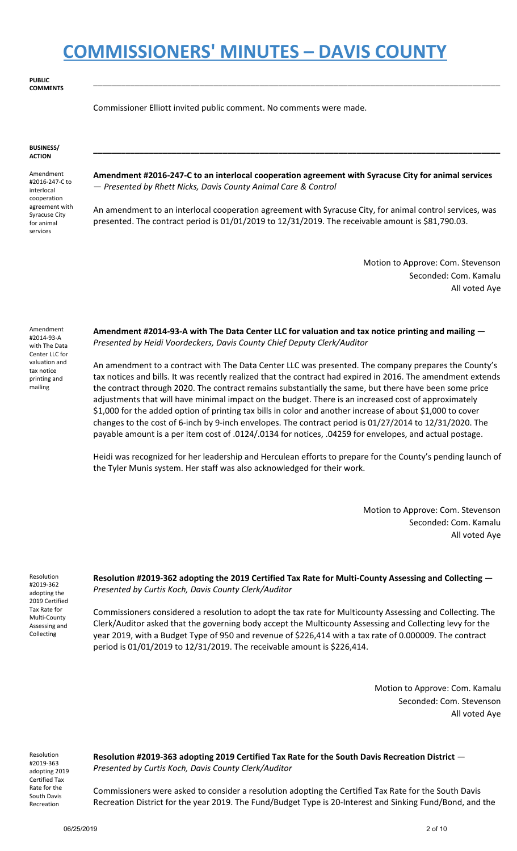**PUBLIC COMMENTS**

Commissioner Elliott invited public comment. No comments were made.

**BUSINESS/ ACTION**

Amendment #2016-247-C to interlocal cooperation agreement with Syracuse City for animal services

**Amendment #2016-247-C to an interlocal cooperation agreement with Syracuse City for animal services** — *Presented by Rhett Nicks, Davis County Animal Care & Control*

**\_\_\_\_\_\_\_\_\_\_\_\_\_\_\_\_\_\_\_\_\_\_\_\_\_\_\_\_\_\_\_\_\_\_\_\_\_\_\_\_\_\_\_\_\_\_\_\_\_\_\_\_\_\_\_\_\_\_\_\_\_\_\_\_\_\_\_\_\_\_\_\_\_\_\_\_\_\_\_\_\_\_\_\_\_\_\_\_**

\_\_\_\_\_\_\_\_\_\_\_\_\_\_\_\_\_\_\_\_\_\_\_\_\_\_\_\_\_\_\_\_\_\_\_\_\_\_\_\_\_\_\_\_\_\_\_\_\_\_\_\_\_\_\_\_\_\_\_\_\_\_\_\_\_\_\_\_\_\_\_\_\_\_\_\_\_\_\_\_\_\_\_\_\_\_\_\_

An amendment to an interlocal cooperation agreement with Syracuse City, for animal control services, was presented. The contract period is 01/01/2019 to 12/31/2019. The receivable amount is \$81,790.03.

> Motion to Approve: Com. Stevenson Seconded: Com. Kamalu All voted Aye

Amendment #2014-93-A with The Data Center LLC for valuation and tax notice printing and mailing

**Amendment #2014-93-A with The Data Center LLC for valuation and tax notice printing and mailing** — *Presented by Heidi Voordeckers, Davis County Chief Deputy Clerk/Auditor*

An amendment to a contract with The Data Center LLC was presented. The company prepares the County's tax notices and bills. It was recently realized that the contract had expired in 2016. The amendment extends the contract through 2020. The contract remains substantially the same, but there have been some price adjustments that will have minimal impact on the budget. There is an increased cost of approximately \$1,000 for the added option of printing tax bills in color and another increase of about \$1,000 to cover changes to the cost of 6-inch by 9-inch envelopes. The contract period is 01/27/2014 to 12/31/2020. The payable amount is a per item cost of .0124/.0134 for notices, .04259 for envelopes, and actual postage.

Heidi was recognized for her leadership and Herculean efforts to prepare for the County's pending launch of the Tyler Munis system. Her staff was also acknowledged for their work.

> Motion to Approve: Com. Stevenson Seconded: Com. Kamalu All voted Aye

Resolution #2019-362 adopting the 2019 Certified Tax Rate for Multi-County Assessing and Collecting

**Resolution #2019-362 adopting the 2019 Certified Tax Rate for Multi-County Assessing and Collecting** — *Presented by Curtis Koch, Davis County Clerk/Auditor*

Commissioners considered a resolution to adopt the tax rate for Multicounty Assessing and Collecting. The Clerk/Auditor asked that the governing body accept the Multicounty Assessing and Collecting levy for the year 2019, with a Budget Type of 950 and revenue of \$226,414 with a tax rate of 0.000009. The contract period is 01/01/2019 to 12/31/2019. The receivable amount is \$226,414.

> Motion to Approve: Com. Kamalu Seconded: Com. Stevenson All voted Aye

Resolution #2019-363 adopting 2019 Certified Tax Rate for the South Davis Recreation

**Resolution #2019-363 adopting 2019 Certified Tax Rate for the South Davis Recreation District** — *Presented by Curtis Koch, Davis County Clerk/Auditor*

Commissioners were asked to consider a resolution adopting the Certified Tax Rate for the South Davis Recreation District for the year 2019. The Fund/Budget Type is 20-Interest and Sinking Fund/Bond, and the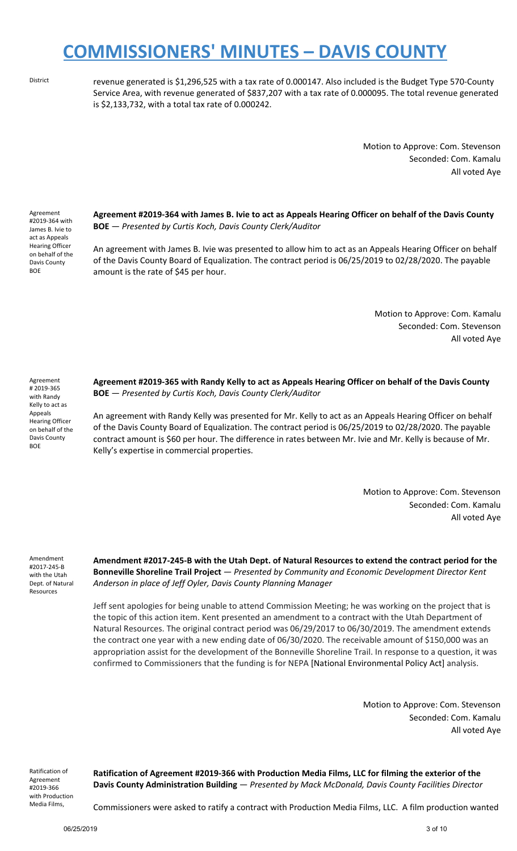District revenue generated is \$1,296,525 with a tax rate of 0.000147. Also included is the Budget Type 570-County Service Area, with revenue generated of \$837,207 with a tax rate of 0.000095. The total revenue generated is \$2,133,732, with a total tax rate of 0.000242.

> Motion to Approve: Com. Stevenson Seconded: Com. Kamalu All voted Aye

Agreement #2019-364 with James B. Ivie to act as Appeals Hearing Officer on behalf of the Davis County BOE

Agreement #2019-364 with James B. Ivie to act as Appeals Hearing Officer on behalf of the Davis County **BOE** — *Presented by Curtis Koch, Davis County Clerk/Auditor*

An agreement with James B. Ivie was presented to allow him to act as an Appeals Hearing Officer on behalf of the Davis County Board of Equalization. The contract period is 06/25/2019 to 02/28/2020. The payable amount is the rate of \$45 per hour.

> Motion to Approve: Com. Kamalu Seconded: Com. Stevenson All voted Aye

Agreement # 2019-365 with Randy Kelly to act as Appeals Hearing Officer on behalf of the Davis County **BOF** 

**Agreement #2019-365 with Randy Kelly to act as Appeals Hearing Officer on behalf of the Davis County BOE** — *Presented by Curtis Koch, Davis County Clerk/Auditor*

An agreement with Randy Kelly was presented for Mr. Kelly to act as an Appeals Hearing Officer on behalf of the Davis County Board of Equalization. The contract period is 06/25/2019 to 02/28/2020. The payable contract amount is \$60 per hour. The difference in rates between Mr. Ivie and Mr. Kelly is because of Mr. Kelly's expertise in commercial properties.

> Motion to Approve: Com. Stevenson Seconded: Com. Kamalu All voted Aye

Amendment #2017-245-B with the Utah Dept. of Natural Resources

**Amendment #2017-245-B with the Utah Dept. of Natural Resources to extend the contract period for the Bonneville Shoreline Trail Project** *— Presented by Community and Economic Development Director Kent Anderson in place of Jeff Oyler, Davis County Planning Manager*

Jeff sent apologies for being unable to attend Commission Meeting; he was working on the project that is the topic of this action item. Kent presented an amendment to a contract with the Utah Department of Natural Resources. The original contract period was 06/29/2017 to 06/30/2019. The amendment extends the contract one year with a new ending date of 06/30/2020. The receivable amount of \$150,000 was an appropriation assist for the development of the Bonneville Shoreline Trail. In response to a question, it was confirmed to Commissioners that the funding is for NEPA [National Environmental Policy Act] analysis.

> Motion to Approve: Com. Stevenson Seconded: Com. Kamalu All voted Aye

Ratification of Agreement #2019-366 with Production Media Films,

**Ratification of Agreement #2019-366 with Production Media Films, LLC for filming the exterior of the Davis County Administration Building** — *Presented by Mack McDonald, Davis County Facilities Director*

Commissioners were asked to ratify a contract with Production Media Films, LLC. A film production wanted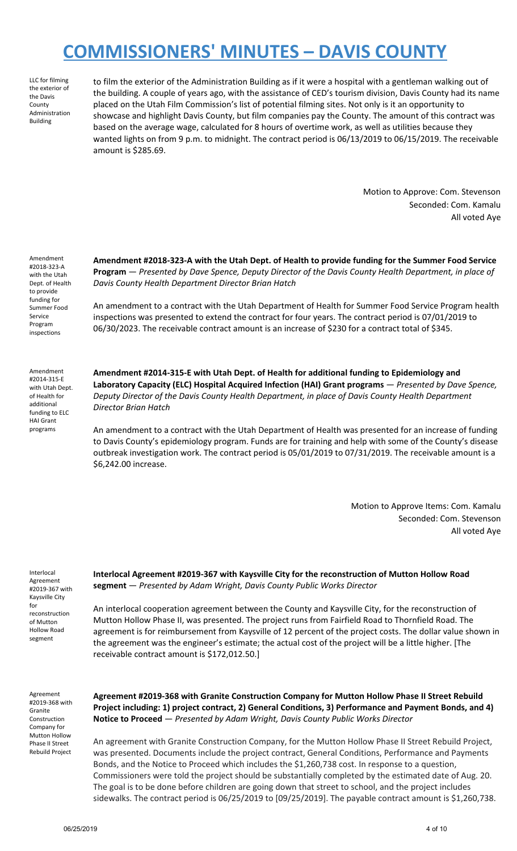LLC for filming the exterior of the Davis County Administration Building

to film the exterior of the Administration Building as if it were a hospital with a gentleman walking out of the building. A couple of years ago, with the assistance of CED's tourism division, Davis County had its name placed on the Utah Film Commission's list of potential filming sites. Not only is it an opportunity to showcase and highlight Davis County, but film companies pay the County. The amount of this contract was based on the average wage, calculated for 8 hours of overtime work, as well as utilities because they wanted lights on from 9 p.m. to midnight. The contract period is 06/13/2019 to 06/15/2019. The receivable amount is \$285.69.

> Motion to Approve: Com. Stevenson Seconded: Com. Kamalu All voted Aye

Amendment #2018-323-A with the Utah Dept. of Health to provide funding for Summer Food Service Program inspections

**Amendment #2018-323-A with the Utah Dept. of Health to provide funding for the Summer Food Service Program** — *Presented by Dave Spence, Deputy Director of the Davis County Health Department, in place of Davis County Health Department Director Brian Hatch*

An amendment to a contract with the Utah Department of Health for Summer Food Service Program health inspections was presented to extend the contract for four years. The contract period is 07/01/2019 to 06/30/2023. The receivable contract amount is an increase of \$230 for a contract total of \$345.

Amendment #2014-315-E with Utah Dept. of Health for additional funding to ELC HAI Grant programs

**Amendment #2014-315-E with Utah Dept. of Health for additional funding to Epidemiology and Laboratory Capacity (ELC) Hospital Acquired Infection (HAI) Grant programs** — *Presented by Dave Spence, Deputy Director of the Davis County Health Department, in place of Davis County Health Department Director Brian Hatch*

An amendment to a contract with the Utah Department of Health was presented for an increase of funding to Davis County's epidemiology program. Funds are for training and help with some of the County's disease outbreak investigation work. The contract period is 05/01/2019 to 07/31/2019. The receivable amount is a \$6,242.00 increase.

> Motion to Approve Items: Com. Kamalu Seconded: Com. Stevenson All voted Aye

Interlocal Agreement #2019-367 with Kaysville City for reconstruction of Mutton Hollow Road segment

**Interlocal Agreement #2019-367 with Kaysville City for the reconstruction of Mutton Hollow Road segment** — *Presented by Adam Wright, Davis County Public Works Director*

An interlocal cooperation agreement between the County and Kaysville City, for the reconstruction of Mutton Hollow Phase II, was presented. The project runs from Fairfield Road to Thornfield Road. The agreement is for reimbursement from Kaysville of 12 percent of the project costs. The dollar value shown in the agreement was the engineer's estimate; the actual cost of the project will be a little higher. [The receivable contract amount is \$172,012.50.]

Agreement #2019-368 with Granite Construction Company for Mutton Hollow Phase II Street Rebuild Project **Agreement #2019-368 with Granite Construction Company for Mutton Hollow Phase II Street Rebuild Project including: 1) project contract, 2) General Conditions, 3) Performance and Payment Bonds, and 4) Notice to Proceed** — *Presented by Adam Wright, Davis County Public Works Director*

An agreement with Granite Construction Company, for the Mutton Hollow Phase II Street Rebuild Project, was presented. Documents include the project contract, General Conditions, Performance and Payments Bonds, and the Notice to Proceed which includes the \$1,260,738 cost. In response to a question, Commissioners were told the project should be substantially completed by the estimated date of Aug. 20. The goal is to be done before children are going down that street to school, and the project includes sidewalks. The contract period is 06/25/2019 to [09/25/2019]. The payable contract amount is \$1,260,738.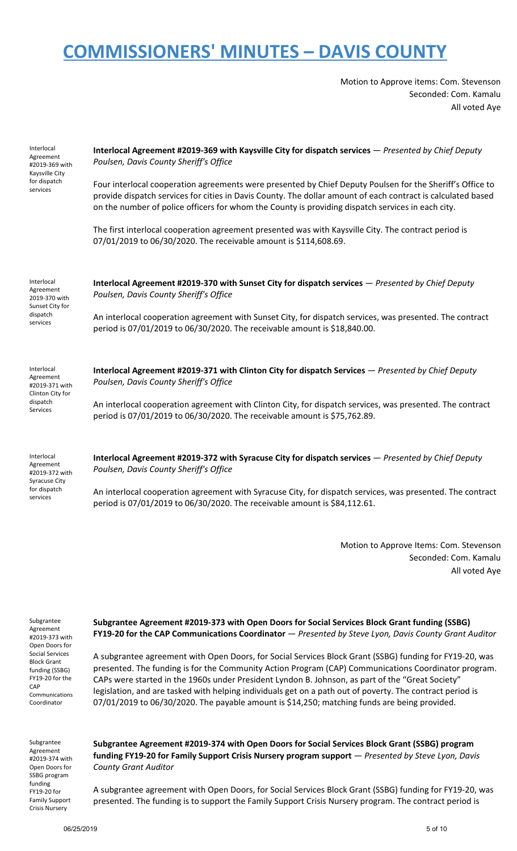Motion to Approve items: Com. Stevenson Seconded: Com. Kamalu All voted Aye

| Interlocal<br>Agreement<br>#2019-369 with<br>Kaysville City<br>for dispatch<br>services       | Interlocal Agreement #2019-369 with Kaysville City for dispatch services - Presented by Chief Deputy<br>Poulsen, Davis County Sheriff's Office<br>Four interlocal cooperation agreements were presented by Chief Deputy Poulsen for the Sheriff's Office to<br>provide dispatch services for cities in Davis County. The dollar amount of each contract is calculated based<br>on the number of police officers for whom the County is providing dispatch services in each city.<br>The first interlocal cooperation agreement presented was with Kaysville City. The contract period is<br>07/01/2019 to 06/30/2020. The receivable amount is \$114,608.69. |
|-----------------------------------------------------------------------------------------------|--------------------------------------------------------------------------------------------------------------------------------------------------------------------------------------------------------------------------------------------------------------------------------------------------------------------------------------------------------------------------------------------------------------------------------------------------------------------------------------------------------------------------------------------------------------------------------------------------------------------------------------------------------------|
| Interlocal<br>Agreement<br>2019-370 with<br>Sunset City for<br>dispatch<br>services           | Interlocal Agreement #2019-370 with Sunset City for dispatch services - Presented by Chief Deputy<br>Poulsen, Davis County Sheriff's Office<br>An interlocal cooperation agreement with Sunset City, for dispatch services, was presented. The contract<br>period is 07/01/2019 to 06/30/2020. The receivable amount is \$18,840.00.                                                                                                                                                                                                                                                                                                                         |
| Interlocal<br>Agreement<br>#2019-371 with<br>Clinton City for<br>dispatch<br>Services         | Interlocal Agreement #2019-371 with Clinton City for dispatch Services - Presented by Chief Deputy<br>Poulsen, Davis County Sheriff's Office<br>An interlocal cooperation agreement with Clinton City, for dispatch services, was presented. The contract<br>period is 07/01/2019 to 06/30/2020. The receivable amount is \$75,762.89.                                                                                                                                                                                                                                                                                                                       |
| Interlocal<br>Agreement<br>#2019-372 with<br><b>Syracuse City</b><br>for dispatch<br>services | Interlocal Agreement #2019-372 with Syracuse City for dispatch services - Presented by Chief Deputy<br>Poulsen, Davis County Sheriff's Office<br>An interlocal cooperation agreement with Syracuse City, for dispatch services, was presented. The contract<br>period is 07/01/2019 to 06/30/2020. The receivable amount is \$84,112.61.                                                                                                                                                                                                                                                                                                                     |
|                                                                                               | Mation to Anneous Hamer Came Ctoughcan                                                                                                                                                                                                                                                                                                                                                                                                                                                                                                                                                                                                                       |

Motion to Approve Items: Com. Stevenson Seconded: Com. Kamalu All voted Aye

Subgrantee Agreement #2019-373 with Open Doors for Social Services Block Grant funding (SSBG) FY19-20 for the **CAP** Communications Coordinator

**Subgrantee Agreement #2019-373 with Open Doors for Social Services Block Grant funding (SSBG) FY19-20 for the CAP Communications Coordinator** — *Presented by Steve Lyon, Davis County Grant Auditor*

A subgrantee agreement with Open Doors, for Social Services Block Grant (SSBG) funding for FY19-20, was presented. The funding is for the Community Action Program (CAP) Communications Coordinator program. CAPs were started in the 1960s under President Lyndon B. Johnson, as part of the "Great Society" legislation, and are tasked with helping individuals get on a path out of poverty. The contract period is 07/01/2019 to 06/30/2020. The payable amount is \$14,250; matching funds are being provided.

Subgrantee Agreement #2019-374 with Open Doors for SSBG program funding FY19-20 for Family Support Crisis Nursery

**Subgrantee Agreement #2019-374 with Open Doors for Social Services Block Grant (SSBG) program funding FY19-20 for Family Support Crisis Nursery program support** — *Presented by Steve Lyon, Davis County Grant Auditor*

A subgrantee agreement with Open Doors, for Social Services Block Grant (SSBG) funding for FY19-20, was presented. The funding is to support the Family Support Crisis Nursery program. The contract period is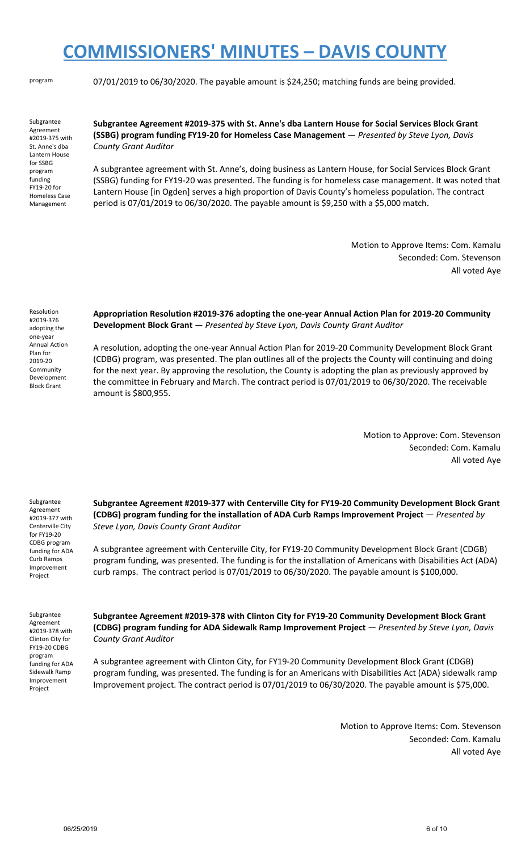$p^{rogram}$  07/01/2019 to 06/30/2020. The payable amount is \$24,250; matching funds are being provided.

Subgrantee Agreement #2019-375 with St. Anne's dba Lantern House for SSBG program funding FY19-20 for Homeless Case Management

**Subgrantee Agreement #2019-375 with St. Anne's dba Lantern House for Social Services Block Grant (SSBG) program funding FY19-20 for Homeless Case Management** — *Presented by Steve Lyon, Davis County Grant Auditor*

A subgrantee agreement with St. Anne's, doing business as Lantern House, for Social Services Block Grant (SSBG) funding for FY19-20 was presented. The funding is for homeless case management. It was noted that Lantern House [in Ogden] serves a high proportion of Davis County's homeless population. The contract period is 07/01/2019 to 06/30/2020. The payable amount is \$9,250 with a \$5,000 match.

> Motion to Approve Items: Com. Kamalu Seconded: Com. Stevenson All voted Aye

Resolution #2019-376 adopting the one-year Annual Action Plan for 2019-20 **Community** Development Block Grant

**Appropriation Resolution #2019-376 adopting the one-year Annual Action Plan for 2019-20 Community Development Block Grant** — *Presented by Steve Lyon, Davis County Grant Auditor*

A resolution, adopting the one-year Annual Action Plan for 2019-20 Community Development Block Grant (CDBG) program, was presented. The plan outlines all of the projects the County will continuing and doing for the next year. By approving the resolution, the County is adopting the plan as previously approved by the committee in February and March. The contract period is 07/01/2019 to 06/30/2020. The receivable amount is \$800,955.

> Motion to Approve: Com. Stevenson Seconded: Com. Kamalu All voted Aye

Subgrantee Agreement #2019-377 with Centerville City for FY19-20 CDBG program funding for ADA Curb Ramps Improvement Project

**Subgrantee Agreement #2019-377 with Centerville City for FY19-20 Community Development Block Grant (CDBG) program funding for the installation of ADA Curb Ramps Improvement Project** — *Presented by Steve Lyon, Davis County Grant Auditor*

A subgrantee agreement with Centerville City, for FY19-20 Community Development Block Grant (CDGB) program funding, was presented. The funding is for the installation of Americans with Disabilities Act (ADA) curb ramps. The contract period is 07/01/2019 to 06/30/2020. The payable amount is \$100,000.

Subgrantee Agreement #2019-378 with Clinton City for FY19-20 CDBG program funding for ADA Sidewalk Ramp Improvement Project

**Subgrantee Agreement #2019-378 with Clinton City for FY19-20 Community Development Block Grant (CDBG) program funding for ADA Sidewalk Ramp Improvement Project** — *Presented by Steve Lyon, Davis County Grant Auditor*

A subgrantee agreement with Clinton City, for FY19-20 Community Development Block Grant (CDGB) program funding, was presented. The funding is for an Americans with Disabilities Act (ADA) sidewalk ramp Improvement project. The contract period is 07/01/2019 to 06/30/2020. The payable amount is \$75,000.

> Motion to Approve Items: Com. Stevenson Seconded: Com. Kamalu All voted Aye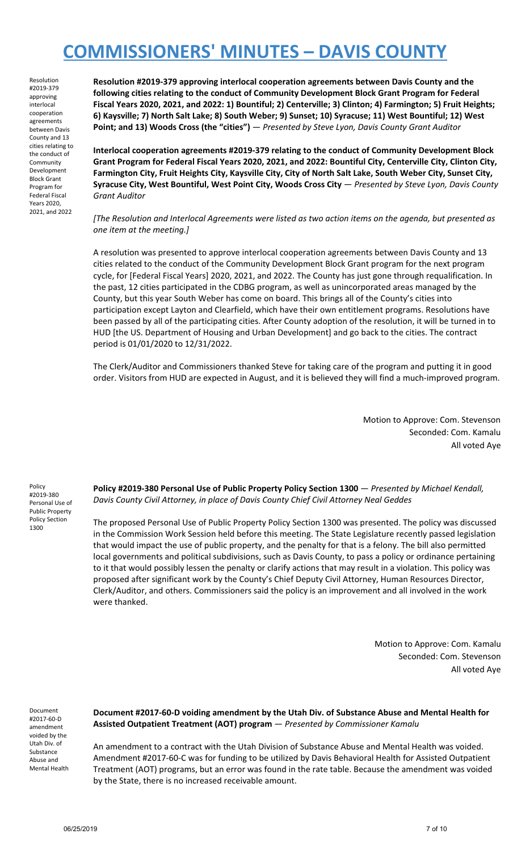Resolution #2019-379 approving interlocal cooperation agreements between Davis County and 13 cities relating to the conduct of **Community** Development Block Grant Program for Federal Fiscal Years 2020, 2021, and 2022

**Resolution #2019-379 approving interlocal cooperation agreements between Davis County and the following cities relating to the conduct of Community Development Block Grant Program for Federal** Fiscal Years 2020, 2021, and 2022: 1) Bountiful; 2) Centerville; 3) Clinton; 4) Farmington; 5) Fruit Heights; 6) Kaysville; 7) North Salt Lake; 8) South Weber; 9) Sunset; 10) Syracuse; 11) West Bountiful; 12) West **Point; and 13) Woods Cross (the "cities")** — *Presented by Steve Lyon, Davis County Grant Auditor*

**Interlocal cooperation agreements #2019-379 relating to the conduct of Community Development Block Grant Program for Federal Fiscal Years 2020, 2021, and 2022: Bountiful City, Centerville City, Clinton City,** Farmington City, Fruit Heights City, Kaysville City, City of North Salt Lake, South Weber City, Sunset City, **Syracuse City, West Bountiful, West Point City, Woods Cross City** — *Presented by Steve Lyon, Davis County Grant Auditor*

*[The Resolution and Interlocal Agreements were listed as two action items on the agenda, but presented as one item at the meeting.]*

A resolution was presented to approve interlocal cooperation agreements between Davis County and 13 cities related to the conduct of the Community Development Block Grant program for the next program cycle, for [Federal Fiscal Years] 2020, 2021, and 2022. The County has just gone through requalification. In the past, 12 cities participated in the CDBG program, as well as unincorporated areas managed by the County, but this year South Weber has come on board. This brings all of the County's cities into participation except Layton and Clearfield, which have their own entitlement programs. Resolutions have been passed by all of the participating cities. After County adoption of the resolution, it will be turned in to HUD [the US. Department of Housing and Urban Development] and go back to the cities. The contract period is 01/01/2020 to 12/31/2022.

The Clerk/Auditor and Commissioners thanked Steve for taking care of the program and putting it in good order. Visitors from HUD are expected in August, and it is believed they will find a much-improved program.

> Motion to Approve: Com. Stevenson Seconded: Com. Kamalu All voted Aye

Policy #2019-380 Personal Use of Public Property Policy Section 1300

**Policy #2019-380 Personal Use of Public Property Policy Section 1300** — *Presented by Michael Kendall, Davis County Civil Attorney, in place of Davis County Chief Civil Attorney Neal Geddes*

The proposed Personal Use of Public Property Policy Section 1300 was presented. The policy was discussed in the Commission Work Session held before this meeting. The State Legislature recently passed legislation that would impact the use of public property, and the penalty for that is a felony. The bill also permitted local governments and political subdivisions, such as Davis County, to pass a policy or ordinance pertaining to it that would possibly lessen the penalty or clarify actions that may result in a violation. This policy was proposed after significant work by the County's Chief Deputy Civil Attorney, Human Resources Director, Clerk/Auditor, and others. Commissioners said the policy is an improvement and all involved in the work were thanked.

> Motion to Approve: Com. Kamalu Seconded: Com. Stevenson All voted Aye

Document #2017-60-D amendment voided by the Utah Div. of Substance Abuse and Mental Health **Document #2017-60-D voiding amendment by the Utah Div. of Substance Abuse and Mental Health for Assisted Outpatient Treatment (AOT) program** — *Presented by Commissioner Kamalu*

An amendment to a contract with the Utah Division of Substance Abuse and Mental Health was voided. Amendment #2017-60-C was for funding to be utilized by Davis Behavioral Health for Assisted Outpatient Treatment (AOT) programs, but an error was found in the rate table. Because the amendment was voided by the State, there is no increased receivable amount.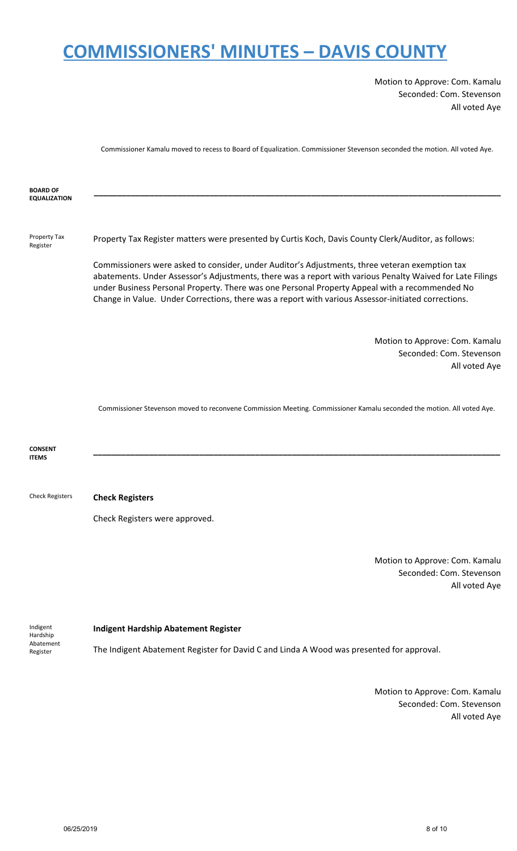Motion to Approve: Com. Kamalu Seconded: Com. Stevenson All voted Aye

Commissioner Kamalu moved to recess to Board of Equalization. Commissioner Stevenson seconded the motion. All voted Aye.

| <b>BOARD OF</b><br><b>EQUALIZATION</b>        |                                                                                                                                                                                                                                                                                                                                                                                                                      |
|-----------------------------------------------|----------------------------------------------------------------------------------------------------------------------------------------------------------------------------------------------------------------------------------------------------------------------------------------------------------------------------------------------------------------------------------------------------------------------|
| Property Tax<br>Register                      | Property Tax Register matters were presented by Curtis Koch, Davis County Clerk/Auditor, as follows:                                                                                                                                                                                                                                                                                                                 |
|                                               | Commissioners were asked to consider, under Auditor's Adjustments, three veteran exemption tax<br>abatements. Under Assessor's Adjustments, there was a report with various Penalty Waived for Late Filings<br>under Business Personal Property. There was one Personal Property Appeal with a recommended No<br>Change in Value. Under Corrections, there was a report with various Assessor-initiated corrections. |
|                                               | Motion to Approve: Com. Kamalu<br>Seconded: Com. Stevenson<br>All voted Aye                                                                                                                                                                                                                                                                                                                                          |
| <b>CONSENT</b>                                | Commissioner Stevenson moved to reconvene Commission Meeting. Commissioner Kamalu seconded the motion. All voted Aye.                                                                                                                                                                                                                                                                                                |
| <b>ITEMS</b>                                  |                                                                                                                                                                                                                                                                                                                                                                                                                      |
| <b>Check Registers</b>                        | <b>Check Registers</b>                                                                                                                                                                                                                                                                                                                                                                                               |
|                                               | Check Registers were approved.                                                                                                                                                                                                                                                                                                                                                                                       |
|                                               | Motion to Approve: Com. Kamalu<br>Seconded: Com. Stevenson<br>All voted Aye                                                                                                                                                                                                                                                                                                                                          |
| Indigent<br>Hardship<br>Abatement<br>Register | <b>Indigent Hardship Abatement Register</b>                                                                                                                                                                                                                                                                                                                                                                          |
|                                               | The Indigent Abatement Register for David C and Linda A Wood was presented for approval.                                                                                                                                                                                                                                                                                                                             |

Motion to Approve: Com. Kamalu Seconded: Com. Stevenson All voted Aye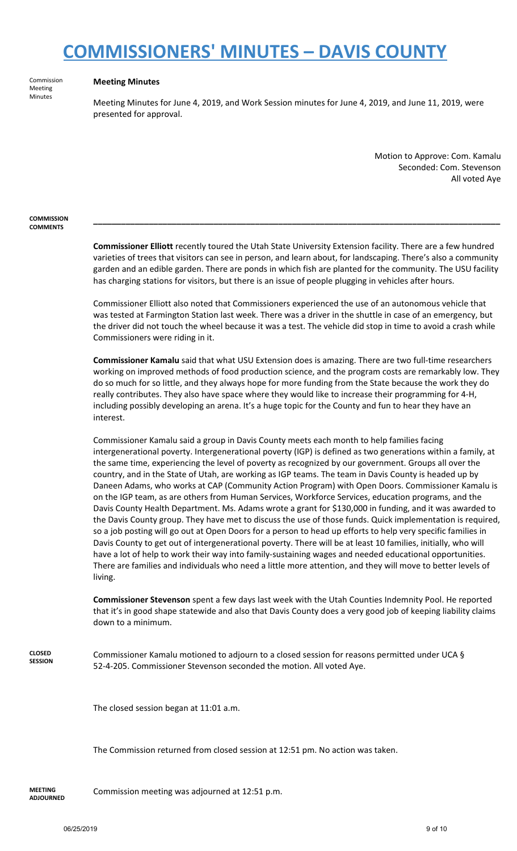Commission Meeting Minutes

#### **Meeting Minutes**

Meeting Minutes for June 4, 2019, and Work Session minutes for June 4, 2019, and June 11, 2019, were presented for approval.

> Motion to Approve: Com. Kamalu Seconded: Com. Stevenson All voted Aye

**COMMISSION COMMENTS**

> **Commissioner Elliott** recently toured the Utah State University Extension facility. There are a few hundred varieties of trees that visitors can see in person, and learn about, for landscaping. There's also a community garden and an edible garden. There are ponds in which fish are planted for the community. The USU facility has charging stations for visitors, but there is an issue of people plugging in vehicles after hours.

> **\_\_\_\_\_\_\_\_\_\_\_\_\_\_\_\_\_\_\_\_\_\_\_\_\_\_\_\_\_\_\_\_\_\_\_\_\_\_\_\_\_\_\_\_\_\_\_\_\_\_\_\_\_\_\_\_\_\_\_\_\_\_\_\_\_\_\_\_\_\_\_\_\_\_\_\_\_\_\_\_\_\_\_\_\_\_\_\_**

Commissioner Elliott also noted that Commissioners experienced the use of an autonomous vehicle that was tested at Farmington Station last week. There was a driver in the shuttle in case of an emergency, but the driver did not touch the wheel because it was a test. The vehicle did stop in time to avoid a crash while Commissioners were riding in it.

**Commissioner Kamalu** said that what USU Extension does is amazing. There are two full-time researchers working on improved methods of food production science, and the program costs are remarkably low. They do so much for so little, and they always hope for more funding from the State because the work they do really contributes. They also have space where they would like to increase their programming for 4-H, including possibly developing an arena. It's a huge topic for the County and fun to hear they have an interest.

Commissioner Kamalu said a group in Davis County meets each month to help families facing intergenerational poverty. Intergenerational poverty (IGP) is defined as two generations within a family, at the same time, experiencing the level of poverty as recognized by our government. Groups all over the country, and in the State of Utah, are working as IGP teams. The team in Davis County is headed up by Daneen Adams, who works at CAP (Community Action Program) with Open Doors. Commissioner Kamalu is on the IGP team, as are others from Human Services, Workforce Services, education programs, and the Davis County Health Department. Ms. Adams wrote a grant for \$130,000 in funding, and it was awarded to the Davis County group. They have met to discuss the use of those funds. Quick implementation is required, so a job posting will go out at Open Doors for a person to head up efforts to help very specific families in Davis County to get out of intergenerational poverty. There will be at least 10 families, initially, who will have a lot of help to work their way into family-sustaining wages and needed educational opportunities. There are families and individuals who need a little more attention, and they will move to better levels of living.

**Commissioner Stevenson** spent a few days last week with the Utah Counties Indemnity Pool. He reported that it's in good shape statewide and also that Davis County does a very good job of keeping liability claims down to a minimum.

**CLOSED SESSION**

Commissioner Kamalu motioned to adjourn to a closed session for reasons permitted under UCA § 52-4-205. Commissioner Stevenson seconded the motion. All voted Aye.

The closed session began at 11:01 a.m.

The Commission returned from closed session at 12:51 pm. No action was taken.

**MEETING ADJOURNED** Commission meeting was adjourned at 12:51 p.m.